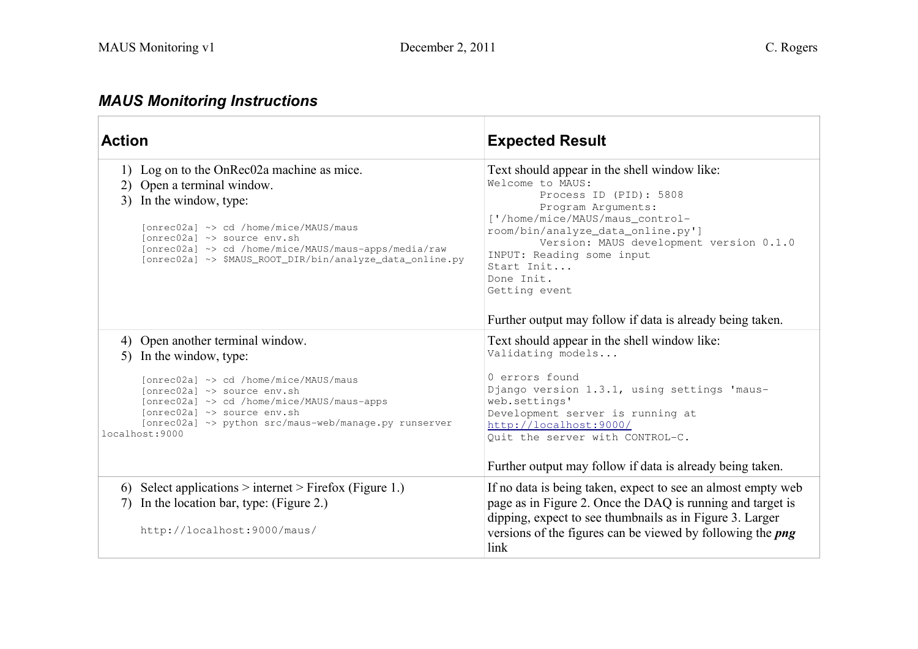## *MAUS Monitoring Instructions*

| <b>Action</b>                                                                                                                                                                                                                                                                                      | <b>Expected Result</b>                                                                                                                                                                                                                                                                                        |  |
|----------------------------------------------------------------------------------------------------------------------------------------------------------------------------------------------------------------------------------------------------------------------------------------------------|---------------------------------------------------------------------------------------------------------------------------------------------------------------------------------------------------------------------------------------------------------------------------------------------------------------|--|
| 1) Log on to the OnRec02a machine as mice.<br>2) Open a terminal window.<br>In the window, type:<br>3)<br>[onrec02a] ~> cd /home/mice/MAUS/maus<br>Tonrec02al ~> source env.sh<br>[onrec02a] ~> cd /home/mice/MAUS/maus-apps/media/raw<br>[onrec02a] ~> \$MAUS_ROOT_DIR/bin/analyze_data_online.py | Text should appear in the shell window like:<br>Welcome to MAUS:<br>Process ID (PID): 5808<br>Program Arguments:<br>['/home/mice/MAUS/maus_control-<br>room/bin/analyze_data_online.py']<br>Version: MAUS development version 0.1.0<br>INPUT: Reading some input<br>Start Init<br>Done Init.<br>Getting event |  |
|                                                                                                                                                                                                                                                                                                    | Further output may follow if data is already being taken.                                                                                                                                                                                                                                                     |  |
| 4) Open another terminal window.<br>5) In the window, type:                                                                                                                                                                                                                                        | Text should appear in the shell window like:<br>Validating models                                                                                                                                                                                                                                             |  |
| [onrec02a] ~> cd /home/mice/MAUS/maus<br>[onrec02a] ~> source env.sh<br>[onrec02a] ~> cd /home/mice/MAUS/maus-apps<br>[onrec02a] ~> source env.sh<br>[onrec02a] ~> python src/maus-web/manage.py runserver<br>localhost:9000                                                                       | 0 errors found<br>Django version 1.3.1, using settings 'maus-<br>web.settings'<br>Development server is running at<br>http://localhost:9000/<br>Quit the server with CONTROL-C.                                                                                                                               |  |
|                                                                                                                                                                                                                                                                                                    | Further output may follow if data is already being taken.                                                                                                                                                                                                                                                     |  |
| 6) Select applications $>$ internet $>$ Firefox (Figure 1.)<br>In the location bar, type: (Figure 2.)<br>7)<br>http://localhost:9000/maus/                                                                                                                                                         | If no data is being taken, expect to see an almost empty web<br>page as in Figure 2. Once the DAQ is running and target is<br>dipping, expect to see thumbnails as in Figure 3. Larger<br>versions of the figures can be viewed by following the <i>png</i><br>link                                           |  |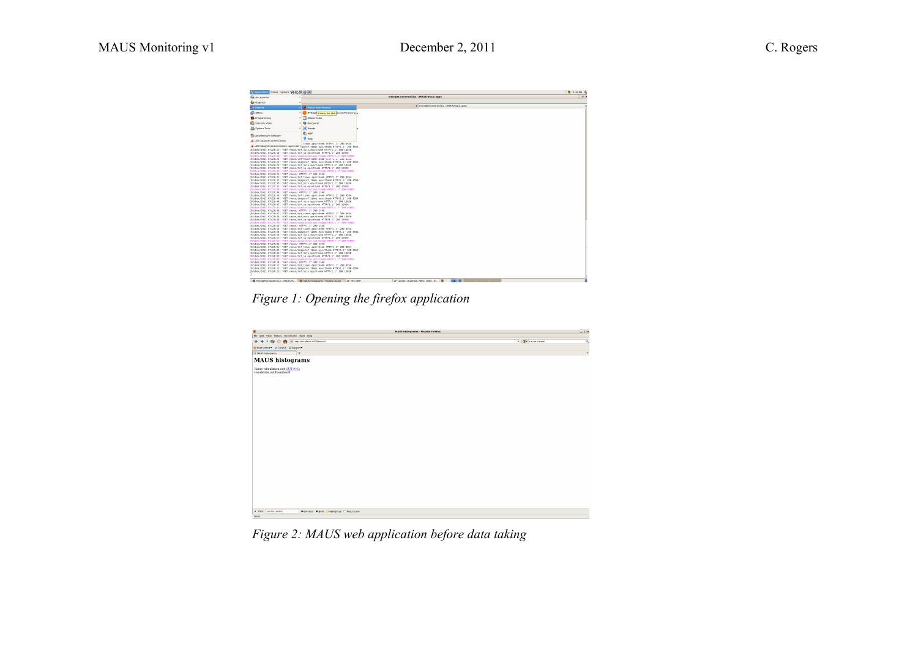| $-02$<br>mice@miceonrec01a:~/MAUS/maus-apps<br>Accessories<br><b>Ca</b> Graphics<br>x mice@miceonrec01a:~:MAUS/maus-apps<br><b>Co Firefor Web Browser</b><br><b>Comment</b><br><b>Second</b><br>P Teleph <mark>Browse the Web co</mark> Conferencing<br>17 MensTicker<br>Programming<br><b>D</b> Konqueror<br>Sound & Video<br><b>El topete</b><br>System Tools<br><b>BI</b> KPP<br>AddiRemove Software<br><b>R</b> Kroc<br>M - ATI Catalyst Control Center<br>times.eps/thumb HTTP/1.1" 200 8554<br>ATI Catalyst Control Center (super-user) pet of_times.eps/thunb HTTP/1.1" 200 8554<br>(02/Dec/2011 07:23:17) "GET /maus/tof hits.eps/thunb HTTP/1.1" 200 13020<br>[02/Dec/2011 07:23:18] "GET /maus/tof sp.eps/thunb HTTP/1.1" 200 13020<br>[02/Dec/2011 07:23:18] "GET /maus/simulation.out/thumb HTTP/1.1" 500 92001<br>(02/Dec/2011 07:23:23) "GET /maus/LUT"Tile-L'+GE7.AG6D HITF/J.J. 200 8334<br>(02/Dec/2011 07:23:24) "GET /maus/imagetof times.eps/thumb HTTP/1.1" 200 0554<br>[02/Dec/2011 07:23:25] "GET /maus/tof hits.eps/thunb HTTP/1.1" 200 15020<br>(02/Dec/2011 07:23:25) "GET /maus/tof sp.eps/thunb HTTP/1.1" 200 13020<br>(02/Dec/2011 07:23:25) "GET /maus/simulation.out/thumb HTTP/1.1" 500-92005<br>[02/Dec/2011 07:23:31] "GET /maus/ HTTP/1.1" 200 1548<br>(02/Dec/2011 07:23:31) "GET /maus/tof times.eps/thumb HTTP/1.1" 200 0554<br>(02/Dec/2011 07:23:32) "GET /maus/imagetof times.eps/thunb HTTP/1.1" 200 8554<br>(02/Dec/2011 07:23:33) "GET /maus/tof hits.eps/thunb HTTP/1.1" 200 13020<br>(02/Dec/2011 07:23:33) "GET /maus/tof sp.eps/thunb HTTP/1.1" 200 13020<br>(02/Dec/2011 07:23:34) "GET /maus/simulation.out/thumb HTTP/1.1" 500 92001<br>(02/Dec/2011 07:23:39) "GET /maus/ HTTP/1.1" 200 1548<br>(02/Dec/2011 07:23:39) "GET /maus/tof times.eos/thumb HTTP/1.1" 200 8554<br>(02/Dec/2011 07:23:40) "GET /maus/imagetof times.eps/thumb HTTP/1.1" 200 0554<br>(02/Dec/2011 07:23:401 "GET /maus/tof hits.eps/thunb HTTP/1.1" 200 13020<br>(02/Dec/2011 07:23:41) "GET /maus/tof sp.eps/thunb HTTP/1.1" 200 13020<br>[02/Dec/2011 07:23:41] "GET /maus/simulation.out/thumb HTTP/1.1" 500 92002<br>[02/Dec/2011 07:23:46] "GET /maus/ HTTP/1.1" 200 1548<br>(02/Dec/2011 07:23:47) "GET /maus/tof times.eps/thumb HTTP/1.1" 200 0554<br>(02/Dec/2011 07:23:40) "GET /maus/tof hits.eps/thunb HTTP/1.1" 200 13020<br>(02/Dec/2011 07:23:49) "GET /maus/tof sp.eps/thunb HTTP/1.1" 200 13020<br>(02/Dec/2011 07:23:49) "GET /maus/simulation.out/thumb HTTP/1.1" 500 92001<br>(02/Dec/2011 07:23:54) "GET /maus/ HTTP/1.1" 200 1548<br>(02/Dec/2011 07:23:55) "GET /maus/tof times.eas/thumb HTTP/1.1" 200 8554<br>(02/Dec/2011 07:23:56) "GET /maus/imagetof times.eps/thumb HTTP/1.1" 200 0354<br>(02/Dec/2011 07:23:56) "GET /maus/tof hits.eps/thunb HTTP/1.1" 200 13020<br>(02/Dec/2011 07:23:57) "GET /maus/tof sp.eps/thunb HTTP/1.1" 200 13020<br>[02/Dec/2011 07:23:57] "GET /maus/simulation.out/thumb HTTP/1.1" 500 92002<br>(02/Dec/2011 07:24:02) "GET /maus/ HTTP/1.1" 200 1548<br>[02/Dec/2011 07:24:03] "GET /maus/tof times.eps/thumb HTTP/1.1" 200 E554<br>(02/Dec/2011 07:24:03) "GET /maus/imagetof times.eps/thumb HTTP/1.1" 200 0554<br>[02/Dec/2011 07:24:04] "GET /maus/tof hits.eps/thunb HTTP/1.1" 200 15020<br>(02/Dec/2011 07:24:05) "GET /maus/tof sp.eps/thunb HTTP/1.1" 200 13020<br>[02/Dec/2011 07:24:05] "GET /maus/simulation.out/thumb HTTP/1.1" 500 92001<br>(02/Dec/2011 07:24:10) "GET /maus/ HTTP/1.1" 200 1548<br>(02/Dec/2011 07:24:11) "GET /maus/tof times.eas/thumb HTTP/1.1" 200 8554<br>(02/Dec/2011 07:24:11) "GET /maus/imagetof times.eps/thumb HTTP/1.1" 200 0554<br>(02/Dec/2011 07:24:12) "GET /maus/tof hits.eps/thunb HTTP/1.1" 200 13020<br>The microferrice principle: ~ MAUS fm 20 MAUS histograms - Mozilla Firefox<br>of The GIVE | 各 Applications Places System →公長谷は |  | <b>图 124PH</b> @                                      |
|-----------------------------------------------------------------------------------------------------------------------------------------------------------------------------------------------------------------------------------------------------------------------------------------------------------------------------------------------------------------------------------------------------------------------------------------------------------------------------------------------------------------------------------------------------------------------------------------------------------------------------------------------------------------------------------------------------------------------------------------------------------------------------------------------------------------------------------------------------------------------------------------------------------------------------------------------------------------------------------------------------------------------------------------------------------------------------------------------------------------------------------------------------------------------------------------------------------------------------------------------------------------------------------------------------------------------------------------------------------------------------------------------------------------------------------------------------------------------------------------------------------------------------------------------------------------------------------------------------------------------------------------------------------------------------------------------------------------------------------------------------------------------------------------------------------------------------------------------------------------------------------------------------------------------------------------------------------------------------------------------------------------------------------------------------------------------------------------------------------------------------------------------------------------------------------------------------------------------------------------------------------------------------------------------------------------------------------------------------------------------------------------------------------------------------------------------------------------------------------------------------------------------------------------------------------------------------------------------------------------------------------------------------------------------------------------------------------------------------------------------------------------------------------------------------------------------------------------------------------------------------------------------------------------------------------------------------------------------------------------------------------------------------------------------------------------------------------------------------------------------------------------------------------------------------------------------------------------------------------------------------------------------------------------------------------------------------------------------------------------------------------------------------------------------------------------------------------------------------------------------------------------------------------------------------------------------------------------------------------------------------------------------------------------------------------------------------------------------------------------------------------------------------------------------------------------------------------------------|------------------------------------|--|-------------------------------------------------------|
|                                                                                                                                                                                                                                                                                                                                                                                                                                                                                                                                                                                                                                                                                                                                                                                                                                                                                                                                                                                                                                                                                                                                                                                                                                                                                                                                                                                                                                                                                                                                                                                                                                                                                                                                                                                                                                                                                                                                                                                                                                                                                                                                                                                                                                                                                                                                                                                                                                                                                                                                                                                                                                                                                                                                                                                                                                                                                                                                                                                                                                                                                                                                                                                                                                                                                                                                                                                                                                                                                                                                                                                                                                                                                                                                                                                                                                               |                                    |  |                                                       |
|                                                                                                                                                                                                                                                                                                                                                                                                                                                                                                                                                                                                                                                                                                                                                                                                                                                                                                                                                                                                                                                                                                                                                                                                                                                                                                                                                                                                                                                                                                                                                                                                                                                                                                                                                                                                                                                                                                                                                                                                                                                                                                                                                                                                                                                                                                                                                                                                                                                                                                                                                                                                                                                                                                                                                                                                                                                                                                                                                                                                                                                                                                                                                                                                                                                                                                                                                                                                                                                                                                                                                                                                                                                                                                                                                                                                                                               |                                    |  |                                                       |
|                                                                                                                                                                                                                                                                                                                                                                                                                                                                                                                                                                                                                                                                                                                                                                                                                                                                                                                                                                                                                                                                                                                                                                                                                                                                                                                                                                                                                                                                                                                                                                                                                                                                                                                                                                                                                                                                                                                                                                                                                                                                                                                                                                                                                                                                                                                                                                                                                                                                                                                                                                                                                                                                                                                                                                                                                                                                                                                                                                                                                                                                                                                                                                                                                                                                                                                                                                                                                                                                                                                                                                                                                                                                                                                                                                                                                                               |                                    |  |                                                       |
|                                                                                                                                                                                                                                                                                                                                                                                                                                                                                                                                                                                                                                                                                                                                                                                                                                                                                                                                                                                                                                                                                                                                                                                                                                                                                                                                                                                                                                                                                                                                                                                                                                                                                                                                                                                                                                                                                                                                                                                                                                                                                                                                                                                                                                                                                                                                                                                                                                                                                                                                                                                                                                                                                                                                                                                                                                                                                                                                                                                                                                                                                                                                                                                                                                                                                                                                                                                                                                                                                                                                                                                                                                                                                                                                                                                                                                               |                                    |  |                                                       |
|                                                                                                                                                                                                                                                                                                                                                                                                                                                                                                                                                                                                                                                                                                                                                                                                                                                                                                                                                                                                                                                                                                                                                                                                                                                                                                                                                                                                                                                                                                                                                                                                                                                                                                                                                                                                                                                                                                                                                                                                                                                                                                                                                                                                                                                                                                                                                                                                                                                                                                                                                                                                                                                                                                                                                                                                                                                                                                                                                                                                                                                                                                                                                                                                                                                                                                                                                                                                                                                                                                                                                                                                                                                                                                                                                                                                                                               |                                    |  |                                                       |
|                                                                                                                                                                                                                                                                                                                                                                                                                                                                                                                                                                                                                                                                                                                                                                                                                                                                                                                                                                                                                                                                                                                                                                                                                                                                                                                                                                                                                                                                                                                                                                                                                                                                                                                                                                                                                                                                                                                                                                                                                                                                                                                                                                                                                                                                                                                                                                                                                                                                                                                                                                                                                                                                                                                                                                                                                                                                                                                                                                                                                                                                                                                                                                                                                                                                                                                                                                                                                                                                                                                                                                                                                                                                                                                                                                                                                                               |                                    |  |                                                       |
|                                                                                                                                                                                                                                                                                                                                                                                                                                                                                                                                                                                                                                                                                                                                                                                                                                                                                                                                                                                                                                                                                                                                                                                                                                                                                                                                                                                                                                                                                                                                                                                                                                                                                                                                                                                                                                                                                                                                                                                                                                                                                                                                                                                                                                                                                                                                                                                                                                                                                                                                                                                                                                                                                                                                                                                                                                                                                                                                                                                                                                                                                                                                                                                                                                                                                                                                                                                                                                                                                                                                                                                                                                                                                                                                                                                                                                               |                                    |  |                                                       |
|                                                                                                                                                                                                                                                                                                                                                                                                                                                                                                                                                                                                                                                                                                                                                                                                                                                                                                                                                                                                                                                                                                                                                                                                                                                                                                                                                                                                                                                                                                                                                                                                                                                                                                                                                                                                                                                                                                                                                                                                                                                                                                                                                                                                                                                                                                                                                                                                                                                                                                                                                                                                                                                                                                                                                                                                                                                                                                                                                                                                                                                                                                                                                                                                                                                                                                                                                                                                                                                                                                                                                                                                                                                                                                                                                                                                                                               |                                    |  |                                                       |
|                                                                                                                                                                                                                                                                                                                                                                                                                                                                                                                                                                                                                                                                                                                                                                                                                                                                                                                                                                                                                                                                                                                                                                                                                                                                                                                                                                                                                                                                                                                                                                                                                                                                                                                                                                                                                                                                                                                                                                                                                                                                                                                                                                                                                                                                                                                                                                                                                                                                                                                                                                                                                                                                                                                                                                                                                                                                                                                                                                                                                                                                                                                                                                                                                                                                                                                                                                                                                                                                                                                                                                                                                                                                                                                                                                                                                                               |                                    |  |                                                       |
|                                                                                                                                                                                                                                                                                                                                                                                                                                                                                                                                                                                                                                                                                                                                                                                                                                                                                                                                                                                                                                                                                                                                                                                                                                                                                                                                                                                                                                                                                                                                                                                                                                                                                                                                                                                                                                                                                                                                                                                                                                                                                                                                                                                                                                                                                                                                                                                                                                                                                                                                                                                                                                                                                                                                                                                                                                                                                                                                                                                                                                                                                                                                                                                                                                                                                                                                                                                                                                                                                                                                                                                                                                                                                                                                                                                                                                               |                                    |  |                                                       |
|                                                                                                                                                                                                                                                                                                                                                                                                                                                                                                                                                                                                                                                                                                                                                                                                                                                                                                                                                                                                                                                                                                                                                                                                                                                                                                                                                                                                                                                                                                                                                                                                                                                                                                                                                                                                                                                                                                                                                                                                                                                                                                                                                                                                                                                                                                                                                                                                                                                                                                                                                                                                                                                                                                                                                                                                                                                                                                                                                                                                                                                                                                                                                                                                                                                                                                                                                                                                                                                                                                                                                                                                                                                                                                                                                                                                                                               |                                    |  |                                                       |
|                                                                                                                                                                                                                                                                                                                                                                                                                                                                                                                                                                                                                                                                                                                                                                                                                                                                                                                                                                                                                                                                                                                                                                                                                                                                                                                                                                                                                                                                                                                                                                                                                                                                                                                                                                                                                                                                                                                                                                                                                                                                                                                                                                                                                                                                                                                                                                                                                                                                                                                                                                                                                                                                                                                                                                                                                                                                                                                                                                                                                                                                                                                                                                                                                                                                                                                                                                                                                                                                                                                                                                                                                                                                                                                                                                                                                                               |                                    |  |                                                       |
|                                                                                                                                                                                                                                                                                                                                                                                                                                                                                                                                                                                                                                                                                                                                                                                                                                                                                                                                                                                                                                                                                                                                                                                                                                                                                                                                                                                                                                                                                                                                                                                                                                                                                                                                                                                                                                                                                                                                                                                                                                                                                                                                                                                                                                                                                                                                                                                                                                                                                                                                                                                                                                                                                                                                                                                                                                                                                                                                                                                                                                                                                                                                                                                                                                                                                                                                                                                                                                                                                                                                                                                                                                                                                                                                                                                                                                               |                                    |  |                                                       |
|                                                                                                                                                                                                                                                                                                                                                                                                                                                                                                                                                                                                                                                                                                                                                                                                                                                                                                                                                                                                                                                                                                                                                                                                                                                                                                                                                                                                                                                                                                                                                                                                                                                                                                                                                                                                                                                                                                                                                                                                                                                                                                                                                                                                                                                                                                                                                                                                                                                                                                                                                                                                                                                                                                                                                                                                                                                                                                                                                                                                                                                                                                                                                                                                                                                                                                                                                                                                                                                                                                                                                                                                                                                                                                                                                                                                                                               |                                    |  | <b>141 60</b><br>of Layers, Channels, Paths, Undo   B |

*Figure 1: Opening the firefox application*

| ⊕<br><b>MAUS histograms - Mozilla Firefox</b>                                  |                                | $ a \times$ |
|--------------------------------------------------------------------------------|--------------------------------|-------------|
| Ble Edit View Higtory Bookmarks Tools Help                                     |                                |             |
| ÷.<br>C http://ocahost.9000/maus/<br>ఱ<br>o                                    | • <mark>한</mark> cache-control | o.          |
| PINest Visited * @ CentOS @ Support *                                          |                                |             |
| C NAUS histograms<br>۱۰                                                        |                                | ۰           |
| <b>MAUS</b> histograms                                                         |                                |             |
|                                                                                |                                |             |
| Name: simulation.out OUT PNG<br>simulation.out thumbnail                       |                                |             |
|                                                                                |                                |             |
|                                                                                |                                |             |
|                                                                                |                                |             |
|                                                                                |                                |             |
|                                                                                |                                |             |
|                                                                                |                                |             |
|                                                                                |                                |             |
|                                                                                |                                |             |
|                                                                                |                                |             |
|                                                                                |                                |             |
|                                                                                |                                |             |
|                                                                                |                                |             |
|                                                                                |                                |             |
|                                                                                |                                |             |
|                                                                                |                                |             |
|                                                                                |                                |             |
|                                                                                |                                |             |
|                                                                                |                                |             |
|                                                                                |                                |             |
|                                                                                |                                |             |
|                                                                                |                                |             |
|                                                                                |                                |             |
|                                                                                |                                |             |
|                                                                                |                                |             |
|                                                                                |                                |             |
| K find: cache-control<br><b>@ Previous Q Next</b> / Highlight all □ Match case |                                |             |
| Done                                                                           |                                |             |

*Figure 2: MAUS web application before data taking*